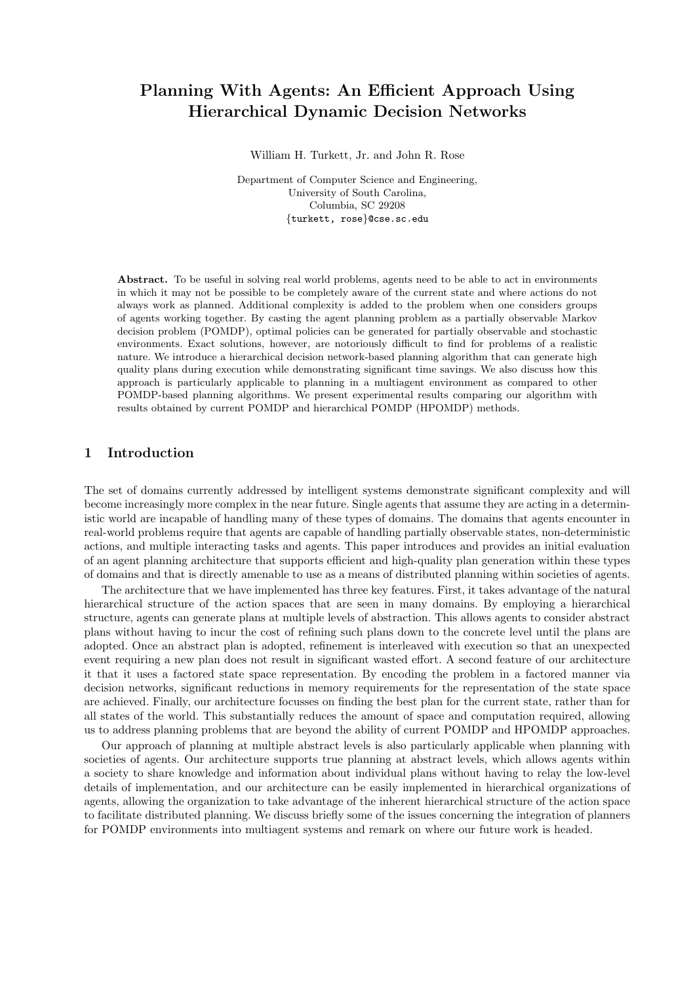# Planning With Agents: An Efficient Approach Using Hierarchical Dynamic Decision Networks

William H. Turkett, Jr. and John R. Rose

Department of Computer Science and Engineering, University of South Carolina, Columbia, SC 29208 {turkett, rose}@cse.sc.edu

Abstract. To be useful in solving real world problems, agents need to be able to act in environments in which it may not be possible to be completely aware of the current state and where actions do not always work as planned. Additional complexity is added to the problem when one considers groups of agents working together. By casting the agent planning problem as a partially observable Markov decision problem (POMDP), optimal policies can be generated for partially observable and stochastic environments. Exact solutions, however, are notoriously difficult to find for problems of a realistic nature. We introduce a hierarchical decision network-based planning algorithm that can generate high quality plans during execution while demonstrating significant time savings. We also discuss how this approach is particularly applicable to planning in a multiagent environment as compared to other POMDP-based planning algorithms. We present experimental results comparing our algorithm with results obtained by current POMDP and hierarchical POMDP (HPOMDP) methods.

# 1 Introduction

The set of domains currently addressed by intelligent systems demonstrate significant complexity and will become increasingly more complex in the near future. Single agents that assume they are acting in a deterministic world are incapable of handling many of these types of domains. The domains that agents encounter in real-world problems require that agents are capable of handling partially observable states, non-deterministic actions, and multiple interacting tasks and agents. This paper introduces and provides an initial evaluation of an agent planning architecture that supports efficient and high-quality plan generation within these types of domains and that is directly amenable to use as a means of distributed planning within societies of agents.

The architecture that we have implemented has three key features. First, it takes advantage of the natural hierarchical structure of the action spaces that are seen in many domains. By employing a hierarchical structure, agents can generate plans at multiple levels of abstraction. This allows agents to consider abstract plans without having to incur the cost of refining such plans down to the concrete level until the plans are adopted. Once an abstract plan is adopted, refinement is interleaved with execution so that an unexpected event requiring a new plan does not result in significant wasted effort. A second feature of our architecture it that it uses a factored state space representation. By encoding the problem in a factored manner via decision networks, significant reductions in memory requirements for the representation of the state space are achieved. Finally, our architecture focusses on finding the best plan for the current state, rather than for all states of the world. This substantially reduces the amount of space and computation required, allowing us to address planning problems that are beyond the ability of current POMDP and HPOMDP approaches.

Our approach of planning at multiple abstract levels is also particularly applicable when planning with societies of agents. Our architecture supports true planning at abstract levels, which allows agents within a society to share knowledge and information about individual plans without having to relay the low-level details of implementation, and our architecture can be easily implemented in hierarchical organizations of agents, allowing the organization to take advantage of the inherent hierarchical structure of the action space to facilitate distributed planning. We discuss briefly some of the issues concerning the integration of planners for POMDP environments into multiagent systems and remark on where our future work is headed.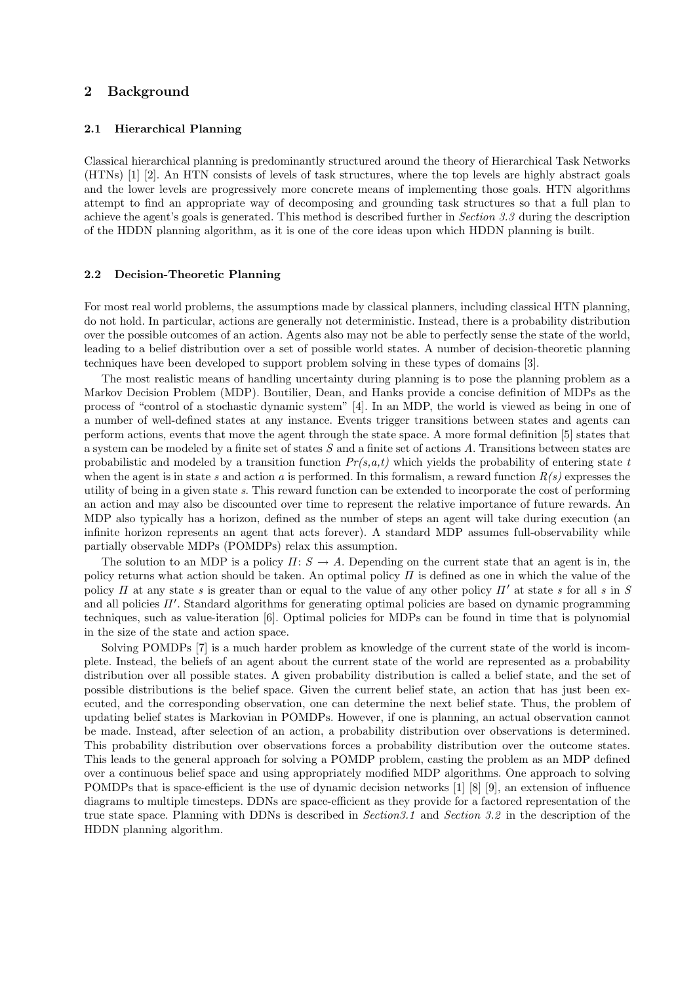# 2 Background

#### 2.1 Hierarchical Planning

Classical hierarchical planning is predominantly structured around the theory of Hierarchical Task Networks (HTNs) [1] [2]. An HTN consists of levels of task structures, where the top levels are highly abstract goals and the lower levels are progressively more concrete means of implementing those goals. HTN algorithms attempt to find an appropriate way of decomposing and grounding task structures so that a full plan to achieve the agent's goals is generated. This method is described further in Section 3.3 during the description of the HDDN planning algorithm, as it is one of the core ideas upon which HDDN planning is built.

## 2.2 Decision-Theoretic Planning

For most real world problems, the assumptions made by classical planners, including classical HTN planning, do not hold. In particular, actions are generally not deterministic. Instead, there is a probability distribution over the possible outcomes of an action. Agents also may not be able to perfectly sense the state of the world, leading to a belief distribution over a set of possible world states. A number of decision-theoretic planning techniques have been developed to support problem solving in these types of domains [3].

The most realistic means of handling uncertainty during planning is to pose the planning problem as a Markov Decision Problem (MDP). Boutilier, Dean, and Hanks provide a concise definition of MDPs as the process of "control of a stochastic dynamic system" [4]. In an MDP, the world is viewed as being in one of a number of well-defined states at any instance. Events trigger transitions between states and agents can perform actions, events that move the agent through the state space. A more formal definition [5] states that a system can be modeled by a finite set of states  $S$  and a finite set of actions  $A$ . Transitions between states are probabilistic and modeled by a transition function  $Pr(s, a, t)$  which yields the probability of entering state t when the agent is in state s and action a is performed. In this formalism, a reward function  $R(s)$  expresses the utility of being in a given state s. This reward function can be extended to incorporate the cost of performing an action and may also be discounted over time to represent the relative importance of future rewards. An MDP also typically has a horizon, defined as the number of steps an agent will take during execution (an infinite horizon represents an agent that acts forever). A standard MDP assumes full-observability while partially observable MDPs (POMDPs) relax this assumption.

The solution to an MDP is a policy  $\Pi: S \to A$ . Depending on the current state that an agent is in, the policy returns what action should be taken. An optimal policy  $\Pi$  is defined as one in which the value of the policy  $\Pi$  at any state s is greater than or equal to the value of any other policy  $\Pi'$  at state s for all s in S and all policies  $\Pi'$ . Standard algorithms for generating optimal policies are based on dynamic programming techniques, such as value-iteration [6]. Optimal policies for MDPs can be found in time that is polynomial in the size of the state and action space.

Solving POMDPs [7] is a much harder problem as knowledge of the current state of the world is incomplete. Instead, the beliefs of an agent about the current state of the world are represented as a probability distribution over all possible states. A given probability distribution is called a belief state, and the set of possible distributions is the belief space. Given the current belief state, an action that has just been executed, and the corresponding observation, one can determine the next belief state. Thus, the problem of updating belief states is Markovian in POMDPs. However, if one is planning, an actual observation cannot be made. Instead, after selection of an action, a probability distribution over observations is determined. This probability distribution over observations forces a probability distribution over the outcome states. This leads to the general approach for solving a POMDP problem, casting the problem as an MDP defined over a continuous belief space and using appropriately modified MDP algorithms. One approach to solving POMDPs that is space-efficient is the use of dynamic decision networks [1] [8] [9], an extension of influence diagrams to multiple timesteps. DDNs are space-efficient as they provide for a factored representation of the true state space. Planning with DDNs is described in *Section 3.1* and *Section 3.2* in the description of the HDDN planning algorithm.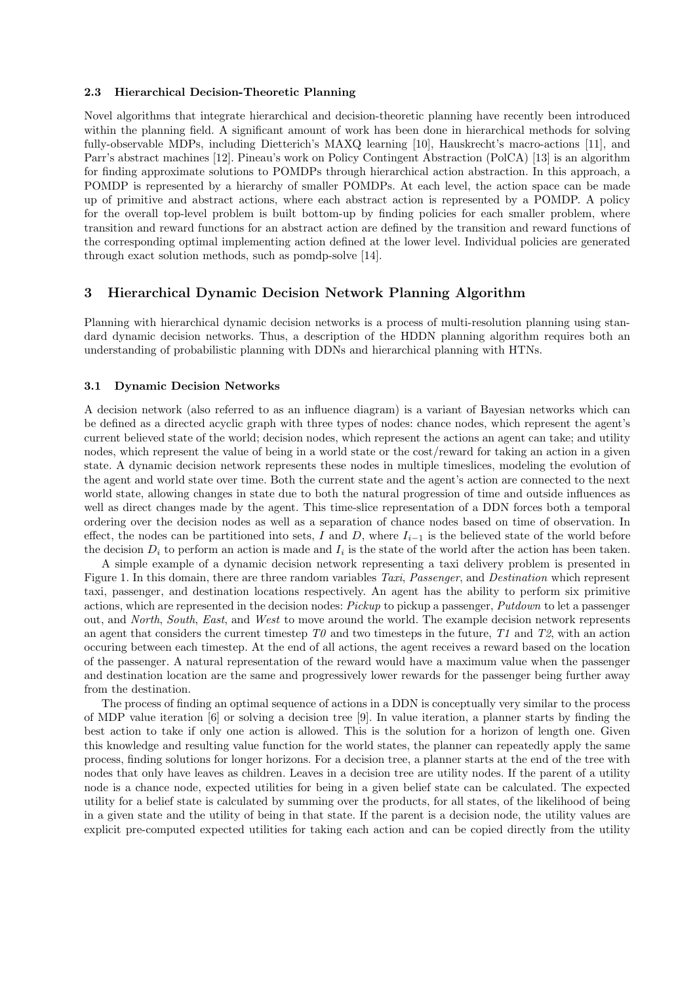### 2.3 Hierarchical Decision-Theoretic Planning

Novel algorithms that integrate hierarchical and decision-theoretic planning have recently been introduced within the planning field. A significant amount of work has been done in hierarchical methods for solving fully-observable MDPs, including Dietterich's MAXQ learning [10], Hauskrecht's macro-actions [11], and Parr's abstract machines [12]. Pineau's work on Policy Contingent Abstraction (PolCA) [13] is an algorithm for finding approximate solutions to POMDPs through hierarchical action abstraction. In this approach, a POMDP is represented by a hierarchy of smaller POMDPs. At each level, the action space can be made up of primitive and abstract actions, where each abstract action is represented by a POMDP. A policy for the overall top-level problem is built bottom-up by finding policies for each smaller problem, where transition and reward functions for an abstract action are defined by the transition and reward functions of the corresponding optimal implementing action defined at the lower level. Individual policies are generated through exact solution methods, such as pomdp-solve [14].

# 3 Hierarchical Dynamic Decision Network Planning Algorithm

Planning with hierarchical dynamic decision networks is a process of multi-resolution planning using standard dynamic decision networks. Thus, a description of the HDDN planning algorithm requires both an understanding of probabilistic planning with DDNs and hierarchical planning with HTNs.

## 3.1 Dynamic Decision Networks

A decision network (also referred to as an influence diagram) is a variant of Bayesian networks which can be defined as a directed acyclic graph with three types of nodes: chance nodes, which represent the agent's current believed state of the world; decision nodes, which represent the actions an agent can take; and utility nodes, which represent the value of being in a world state or the cost/reward for taking an action in a given state. A dynamic decision network represents these nodes in multiple timeslices, modeling the evolution of the agent and world state over time. Both the current state and the agent's action are connected to the next world state, allowing changes in state due to both the natural progression of time and outside influences as well as direct changes made by the agent. This time-slice representation of a DDN forces both a temporal ordering over the decision nodes as well as a separation of chance nodes based on time of observation. In effect, the nodes can be partitioned into sets, I and D, where  $I_{i-1}$  is the believed state of the world before the decision  $D_i$  to perform an action is made and  $I_i$  is the state of the world after the action has been taken.

A simple example of a dynamic decision network representing a taxi delivery problem is presented in Figure 1. In this domain, there are three random variables Taxi, Passenger, and Destination which represent taxi, passenger, and destination locations respectively. An agent has the ability to perform six primitive actions, which are represented in the decision nodes: Pickup to pickup a passenger, Putdown to let a passenger out, and North, South, East, and West to move around the world. The example decision network represents an agent that considers the current timestep  $T\theta$  and two timesteps in the future,  $T1$  and  $T2$ , with an action occuring between each timestep. At the end of all actions, the agent receives a reward based on the location of the passenger. A natural representation of the reward would have a maximum value when the passenger and destination location are the same and progressively lower rewards for the passenger being further away from the destination.

The process of finding an optimal sequence of actions in a DDN is conceptually very similar to the process of MDP value iteration [6] or solving a decision tree [9]. In value iteration, a planner starts by finding the best action to take if only one action is allowed. This is the solution for a horizon of length one. Given this knowledge and resulting value function for the world states, the planner can repeatedly apply the same process, finding solutions for longer horizons. For a decision tree, a planner starts at the end of the tree with nodes that only have leaves as children. Leaves in a decision tree are utility nodes. If the parent of a utility node is a chance node, expected utilities for being in a given belief state can be calculated. The expected utility for a belief state is calculated by summing over the products, for all states, of the likelihood of being in a given state and the utility of being in that state. If the parent is a decision node, the utility values are explicit pre-computed expected utilities for taking each action and can be copied directly from the utility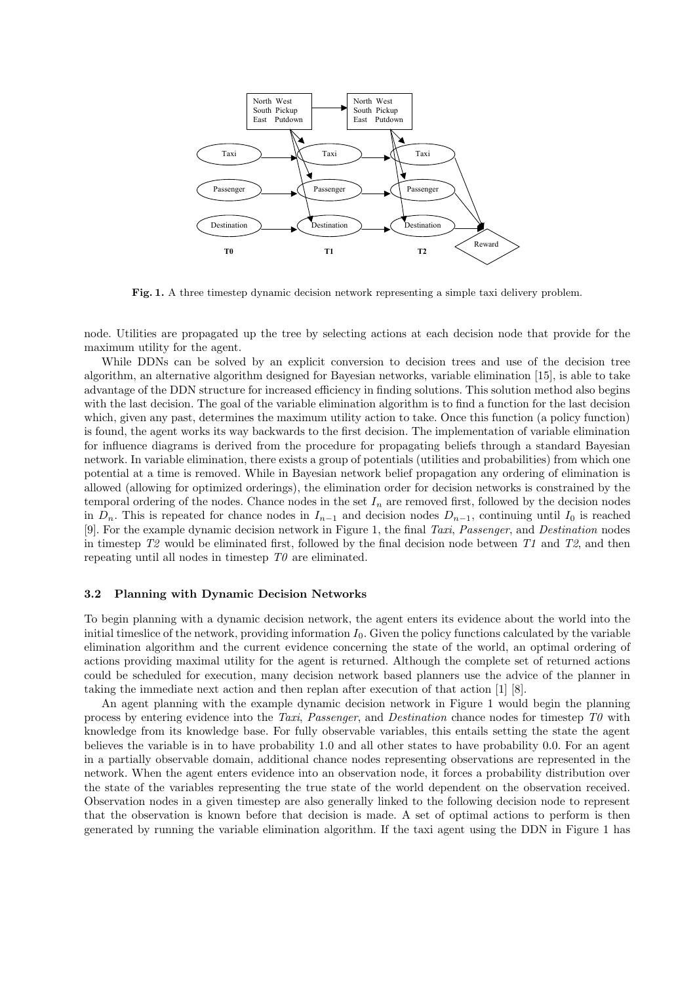

Fig. 1. A three timestep dynamic decision network representing a simple taxi delivery problem.

node. Utilities are propagated up the tree by selecting actions at each decision node that provide for the maximum utility for the agent.

While DDNs can be solved by an explicit conversion to decision trees and use of the decision tree algorithm, an alternative algorithm designed for Bayesian networks, variable elimination [15], is able to take advantage of the DDN structure for increased efficiency in finding solutions. This solution method also begins with the last decision. The goal of the variable elimination algorithm is to find a function for the last decision which, given any past, determines the maximum utility action to take. Once this function (a policy function) is found, the agent works its way backwards to the first decision. The implementation of variable elimination for influence diagrams is derived from the procedure for propagating beliefs through a standard Bayesian network. In variable elimination, there exists a group of potentials (utilities and probabilities) from which one potential at a time is removed. While in Bayesian network belief propagation any ordering of elimination is allowed (allowing for optimized orderings), the elimination order for decision networks is constrained by the temporal ordering of the nodes. Chance nodes in the set  $I_n$  are removed first, followed by the decision nodes in  $D_n$ . This is repeated for chance nodes in  $I_{n-1}$  and decision nodes  $D_{n-1}$ , continuing until  $I_0$  is reached [9]. For the example dynamic decision network in Figure 1, the final Taxi, Passenger, and Destination nodes in timestep  $T2$  would be eliminated first, followed by the final decision node between T1 and T2, and then repeating until all nodes in timestep  $T\theta$  are eliminated.

#### 3.2 Planning with Dynamic Decision Networks

To begin planning with a dynamic decision network, the agent enters its evidence about the world into the initial timeslice of the network, providing information  $I_0$ . Given the policy functions calculated by the variable elimination algorithm and the current evidence concerning the state of the world, an optimal ordering of actions providing maximal utility for the agent is returned. Although the complete set of returned actions could be scheduled for execution, many decision network based planners use the advice of the planner in taking the immediate next action and then replan after execution of that action [1] [8].

An agent planning with the example dynamic decision network in Figure 1 would begin the planning process by entering evidence into the Taxi, Passenger, and Destination chance nodes for timestep  $T_0$  with knowledge from its knowledge base. For fully observable variables, this entails setting the state the agent believes the variable is in to have probability 1.0 and all other states to have probability 0.0. For an agent in a partially observable domain, additional chance nodes representing observations are represented in the network. When the agent enters evidence into an observation node, it forces a probability distribution over the state of the variables representing the true state of the world dependent on the observation received. Observation nodes in a given timestep are also generally linked to the following decision node to represent that the observation is known before that decision is made. A set of optimal actions to perform is then generated by running the variable elimination algorithm. If the taxi agent using the DDN in Figure 1 has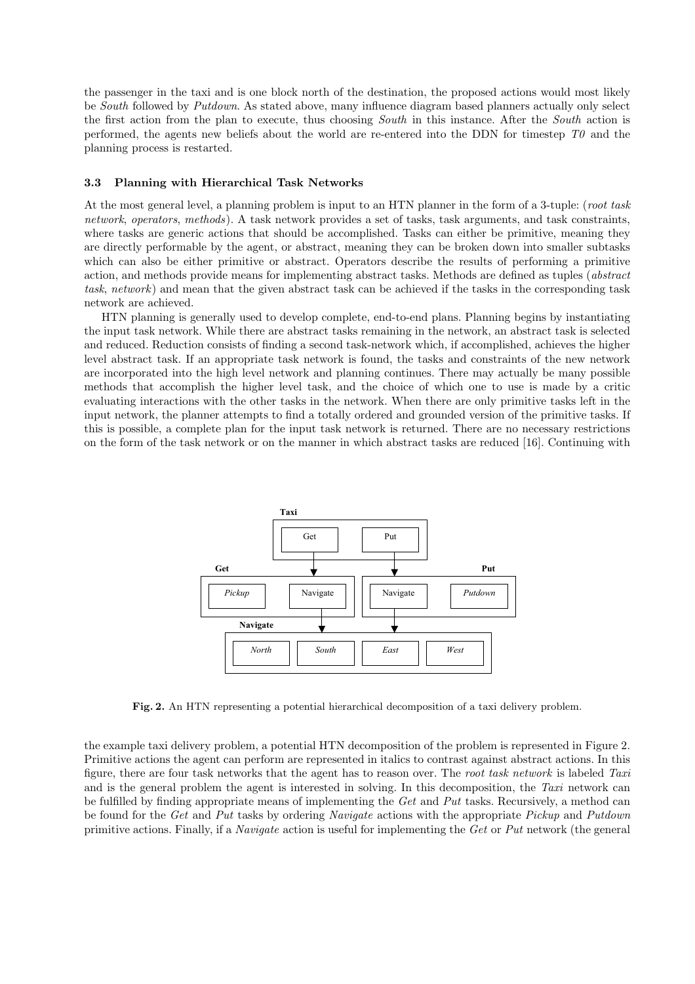the passenger in the taxi and is one block north of the destination, the proposed actions would most likely be South followed by Putdown. As stated above, many influence diagram based planners actually only select the first action from the plan to execute, thus choosing South in this instance. After the South action is performed, the agents new beliefs about the world are re-entered into the DDN for timestep  $T\theta$  and the planning process is restarted.

#### 3.3 Planning with Hierarchical Task Networks

At the most general level, a planning problem is input to an HTN planner in the form of a 3-tuple: (root task network, operators, methods). A task network provides a set of tasks, task arguments, and task constraints, where tasks are generic actions that should be accomplished. Tasks can either be primitive, meaning they are directly performable by the agent, or abstract, meaning they can be broken down into smaller subtasks which can also be either primitive or abstract. Operators describe the results of performing a primitive action, and methods provide means for implementing abstract tasks. Methods are defined as tuples (abstract task, network) and mean that the given abstract task can be achieved if the tasks in the corresponding task network are achieved.

HTN planning is generally used to develop complete, end-to-end plans. Planning begins by instantiating the input task network. While there are abstract tasks remaining in the network, an abstract task is selected and reduced. Reduction consists of finding a second task-network which, if accomplished, achieves the higher level abstract task. If an appropriate task network is found, the tasks and constraints of the new network are incorporated into the high level network and planning continues. There may actually be many possible methods that accomplish the higher level task, and the choice of which one to use is made by a critic evaluating interactions with the other tasks in the network. When there are only primitive tasks left in the input network, the planner attempts to find a totally ordered and grounded version of the primitive tasks. If this is possible, a complete plan for the input task network is returned. There are no necessary restrictions on the form of the task network or on the manner in which abstract tasks are reduced [16]. Continuing with



Fig. 2. An HTN representing a potential hierarchical decomposition of a taxi delivery problem.

the example taxi delivery problem, a potential HTN decomposition of the problem is represented in Figure 2. Primitive actions the agent can perform are represented in italics to contrast against abstract actions. In this figure, there are four task networks that the agent has to reason over. The root task network is labeled Taxi and is the general problem the agent is interested in solving. In this decomposition, the Taxi network can be fulfilled by finding appropriate means of implementing the  $Get$  and  $Put$  tasks. Recursively, a method can be found for the Get and Put tasks by ordering Navigate actions with the appropriate Pickup and Putdown primitive actions. Finally, if a Navigate action is useful for implementing the Get or Put network (the general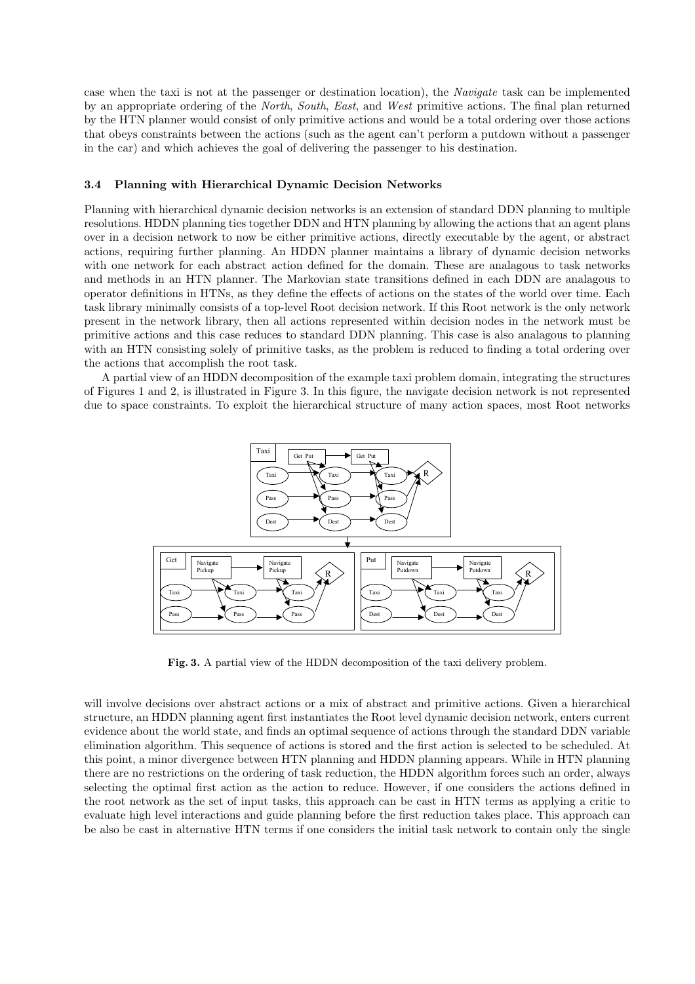case when the taxi is not at the passenger or destination location), the Navigate task can be implemented by an appropriate ordering of the North, South, East, and West primitive actions. The final plan returned by the HTN planner would consist of only primitive actions and would be a total ordering over those actions that obeys constraints between the actions (such as the agent can't perform a putdown without a passenger in the car) and which achieves the goal of delivering the passenger to his destination.

## 3.4 Planning with Hierarchical Dynamic Decision Networks

Planning with hierarchical dynamic decision networks is an extension of standard DDN planning to multiple resolutions. HDDN planning ties together DDN and HTN planning by allowing the actions that an agent plans over in a decision network to now be either primitive actions, directly executable by the agent, or abstract actions, requiring further planning. An HDDN planner maintains a library of dynamic decision networks with one network for each abstract action defined for the domain. These are analagous to task networks and methods in an HTN planner. The Markovian state transitions defined in each DDN are analagous to operator definitions in HTNs, as they define the effects of actions on the states of the world over time. Each task library minimally consists of a top-level Root decision network. If this Root network is the only network present in the network library, then all actions represented within decision nodes in the network must be primitive actions and this case reduces to standard DDN planning. This case is also analagous to planning with an HTN consisting solely of primitive tasks, as the problem is reduced to finding a total ordering over the actions that accomplish the root task.

A partial view of an HDDN decomposition of the example taxi problem domain, integrating the structures of Figures 1 and 2, is illustrated in Figure 3. In this figure, the navigate decision network is not represented due to space constraints. To exploit the hierarchical structure of many action spaces, most Root networks



Fig. 3. A partial view of the HDDN decomposition of the taxi delivery problem.

will involve decisions over abstract actions or a mix of abstract and primitive actions. Given a hierarchical structure, an HDDN planning agent first instantiates the Root level dynamic decision network, enters current evidence about the world state, and finds an optimal sequence of actions through the standard DDN variable elimination algorithm. This sequence of actions is stored and the first action is selected to be scheduled. At this point, a minor divergence between HTN planning and HDDN planning appears. While in HTN planning there are no restrictions on the ordering of task reduction, the HDDN algorithm forces such an order, always selecting the optimal first action as the action to reduce. However, if one considers the actions defined in the root network as the set of input tasks, this approach can be cast in HTN terms as applying a critic to evaluate high level interactions and guide planning before the first reduction takes place. This approach can be also be cast in alternative HTN terms if one considers the initial task network to contain only the single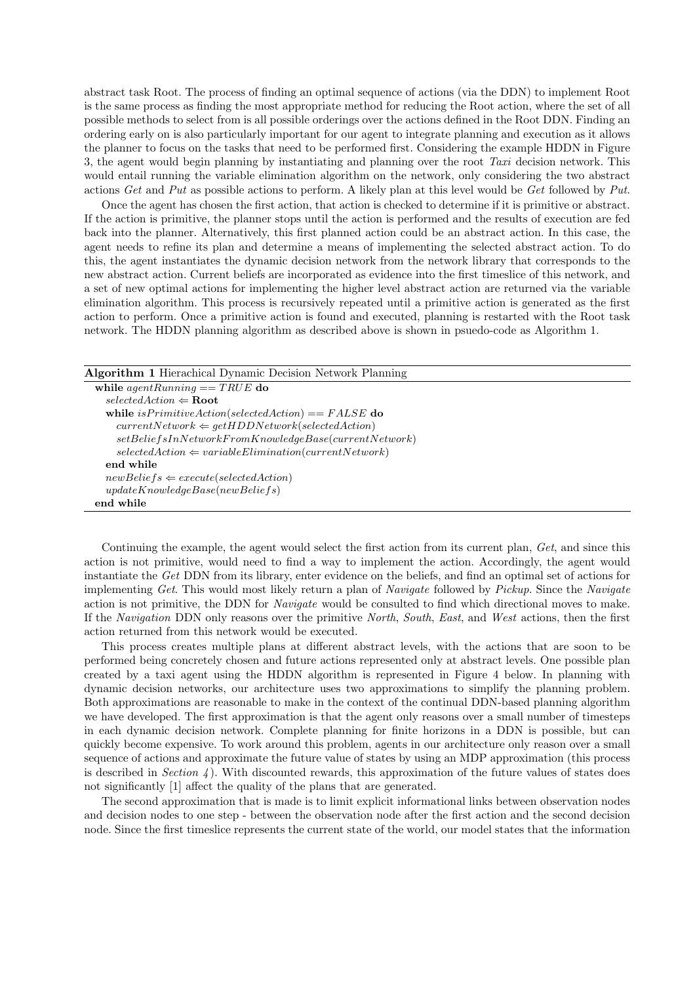abstract task Root. The process of finding an optimal sequence of actions (via the DDN) to implement Root is the same process as finding the most appropriate method for reducing the Root action, where the set of all possible methods to select from is all possible orderings over the actions defined in the Root DDN. Finding an ordering early on is also particularly important for our agent to integrate planning and execution as it allows the planner to focus on the tasks that need to be performed first. Considering the example HDDN in Figure 3, the agent would begin planning by instantiating and planning over the root Taxi decision network. This would entail running the variable elimination algorithm on the network, only considering the two abstract actions Get and Put as possible actions to perform. A likely plan at this level would be Get followed by Put.

Once the agent has chosen the first action, that action is checked to determine if it is primitive or abstract. If the action is primitive, the planner stops until the action is performed and the results of execution are fed back into the planner. Alternatively, this first planned action could be an abstract action. In this case, the agent needs to refine its plan and determine a means of implementing the selected abstract action. To do this, the agent instantiates the dynamic decision network from the network library that corresponds to the new abstract action. Current beliefs are incorporated as evidence into the first timeslice of this network, and a set of new optimal actions for implementing the higher level abstract action are returned via the variable elimination algorithm. This process is recursively repeated until a primitive action is generated as the first action to perform. Once a primitive action is found and executed, planning is restarted with the Root task network. The HDDN planning algorithm as described above is shown in psuedo-code as Algorithm 1.

Algorithm 1 Hierachical Dynamic Decision Network Planning

| while $agentRunning == TRUE$ do                                 |
|-----------------------------------------------------------------|
| $selectedAction \Leftarrow Root$                                |
| while is Primitive Action (selected Action) == $FALSE$ do       |
| $currentNetwork \Leftarrow getHDDNetwork (selectedAction)$      |
| $setBeliefsInNetworkFromKnowledgeBase(currentNetwork)$          |
| $selectedAction \Leftarrow variableElimination(currentNetwork)$ |
| end while                                                       |
| $newBeliefs \Leftarrow execute(selfedAction)$                   |
| updateKnowledgeBase(newBeliefs)                                 |
| end while                                                       |

Continuing the example, the agent would select the first action from its current plan, Get, and since this action is not primitive, would need to find a way to implement the action. Accordingly, the agent would instantiate the Get DDN from its library, enter evidence on the beliefs, and find an optimal set of actions for implementing Get. This would most likely return a plan of Navigate followed by Pickup. Since the Navigate action is not primitive, the DDN for Navigate would be consulted to find which directional moves to make. If the Navigation DDN only reasons over the primitive North, South, East, and West actions, then the first action returned from this network would be executed.

This process creates multiple plans at different abstract levels, with the actions that are soon to be performed being concretely chosen and future actions represented only at abstract levels. One possible plan created by a taxi agent using the HDDN algorithm is represented in Figure 4 below. In planning with dynamic decision networks, our architecture uses two approximations to simplify the planning problem. Both approximations are reasonable to make in the context of the continual DDN-based planning algorithm we have developed. The first approximation is that the agent only reasons over a small number of timesteps in each dynamic decision network. Complete planning for finite horizons in a DDN is possible, but can quickly become expensive. To work around this problem, agents in our architecture only reason over a small sequence of actions and approximate the future value of states by using an MDP approximation (this process is described in Section 4). With discounted rewards, this approximation of the future values of states does not significantly [1] affect the quality of the plans that are generated.

The second approximation that is made is to limit explicit informational links between observation nodes and decision nodes to one step - between the observation node after the first action and the second decision node. Since the first timeslice represents the current state of the world, our model states that the information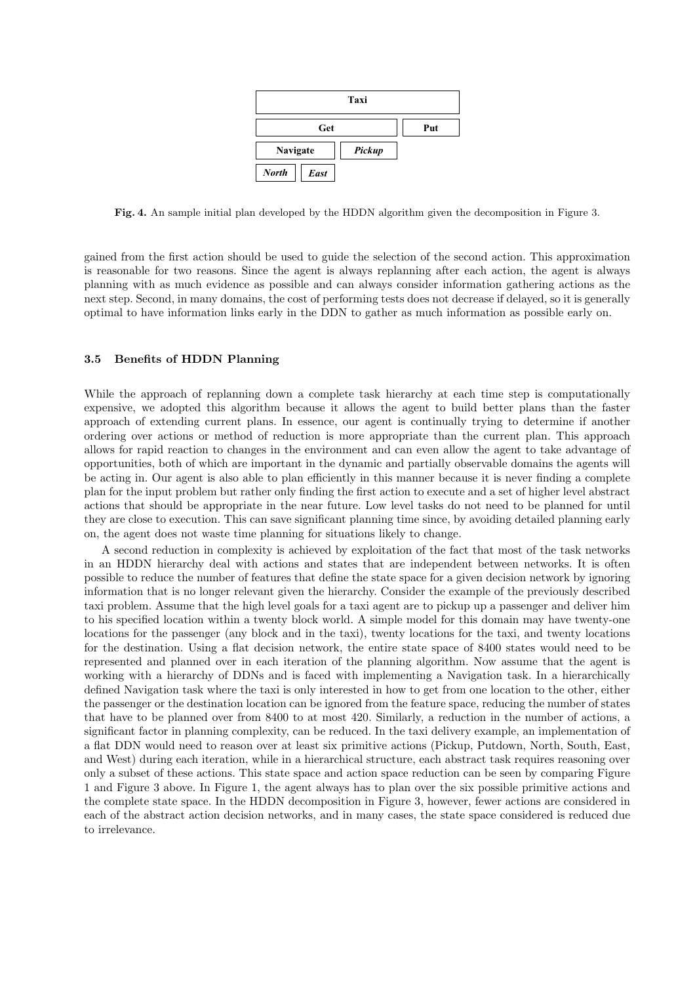

Fig. 4. An sample initial plan developed by the HDDN algorithm given the decomposition in Figure 3.

gained from the first action should be used to guide the selection of the second action. This approximation is reasonable for two reasons. Since the agent is always replanning after each action, the agent is always planning with as much evidence as possible and can always consider information gathering actions as the next step. Second, in many domains, the cost of performing tests does not decrease if delayed, so it is generally optimal to have information links early in the DDN to gather as much information as possible early on.

## 3.5 Benefits of HDDN Planning

While the approach of replanning down a complete task hierarchy at each time step is computationally expensive, we adopted this algorithm because it allows the agent to build better plans than the faster approach of extending current plans. In essence, our agent is continually trying to determine if another ordering over actions or method of reduction is more appropriate than the current plan. This approach allows for rapid reaction to changes in the environment and can even allow the agent to take advantage of opportunities, both of which are important in the dynamic and partially observable domains the agents will be acting in. Our agent is also able to plan efficiently in this manner because it is never finding a complete plan for the input problem but rather only finding the first action to execute and a set of higher level abstract actions that should be appropriate in the near future. Low level tasks do not need to be planned for until they are close to execution. This can save significant planning time since, by avoiding detailed planning early on, the agent does not waste time planning for situations likely to change.

A second reduction in complexity is achieved by exploitation of the fact that most of the task networks in an HDDN hierarchy deal with actions and states that are independent between networks. It is often possible to reduce the number of features that define the state space for a given decision network by ignoring information that is no longer relevant given the hierarchy. Consider the example of the previously described taxi problem. Assume that the high level goals for a taxi agent are to pickup up a passenger and deliver him to his specified location within a twenty block world. A simple model for this domain may have twenty-one locations for the passenger (any block and in the taxi), twenty locations for the taxi, and twenty locations for the destination. Using a flat decision network, the entire state space of 8400 states would need to be represented and planned over in each iteration of the planning algorithm. Now assume that the agent is working with a hierarchy of DDNs and is faced with implementing a Navigation task. In a hierarchically defined Navigation task where the taxi is only interested in how to get from one location to the other, either the passenger or the destination location can be ignored from the feature space, reducing the number of states that have to be planned over from 8400 to at most 420. Similarly, a reduction in the number of actions, a significant factor in planning complexity, can be reduced. In the taxi delivery example, an implementation of a flat DDN would need to reason over at least six primitive actions (Pickup, Putdown, North, South, East, and West) during each iteration, while in a hierarchical structure, each abstract task requires reasoning over only a subset of these actions. This state space and action space reduction can be seen by comparing Figure 1 and Figure 3 above. In Figure 1, the agent always has to plan over the six possible primitive actions and the complete state space. In the HDDN decomposition in Figure 3, however, fewer actions are considered in each of the abstract action decision networks, and in many cases, the state space considered is reduced due to irrelevance.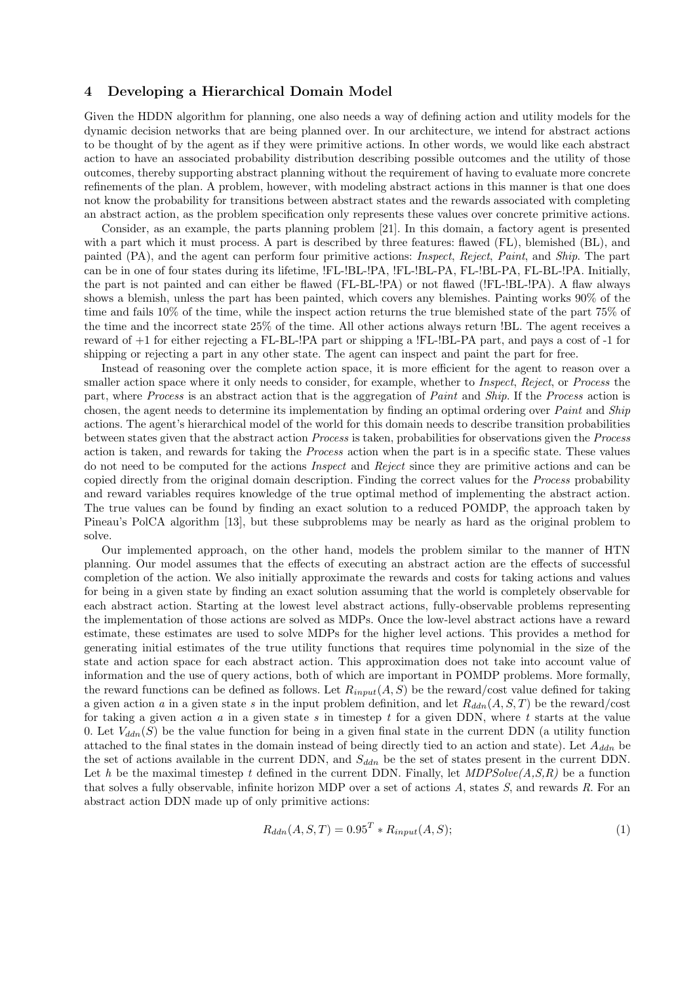# 4 Developing a Hierarchical Domain Model

Given the HDDN algorithm for planning, one also needs a way of defining action and utility models for the dynamic decision networks that are being planned over. In our architecture, we intend for abstract actions to be thought of by the agent as if they were primitive actions. In other words, we would like each abstract action to have an associated probability distribution describing possible outcomes and the utility of those outcomes, thereby supporting abstract planning without the requirement of having to evaluate more concrete refinements of the plan. A problem, however, with modeling abstract actions in this manner is that one does not know the probability for transitions between abstract states and the rewards associated with completing an abstract action, as the problem specification only represents these values over concrete primitive actions.

Consider, as an example, the parts planning problem [21]. In this domain, a factory agent is presented with a part which it must process. A part is described by three features: flawed (FL), blemished (BL), and painted (PA), and the agent can perform four primitive actions: Inspect, Reject, Paint, and Ship. The part can be in one of four states during its lifetime, !FL-!BL-!PA, !FL-!BL-PA, FL-!BL-PA, FL-BL-!PA. Initially, the part is not painted and can either be flawed (FL-BL-!PA) or not flawed (!FL-!BL-!PA). A flaw always shows a blemish, unless the part has been painted, which covers any blemishes. Painting works 90% of the time and fails 10% of the time, while the inspect action returns the true blemished state of the part 75% of the time and the incorrect state 25% of the time. All other actions always return !BL. The agent receives a reward of +1 for either rejecting a FL-BL-!PA part or shipping a !FL-!BL-PA part, and pays a cost of -1 for shipping or rejecting a part in any other state. The agent can inspect and paint the part for free.

Instead of reasoning over the complete action space, it is more efficient for the agent to reason over a smaller action space where it only needs to consider, for example, whether to *Inspect*, Reject, or Process the part, where Process is an abstract action that is the aggregation of Paint and Ship. If the Process action is chosen, the agent needs to determine its implementation by finding an optimal ordering over *Paint* and *Ship* actions. The agent's hierarchical model of the world for this domain needs to describe transition probabilities between states given that the abstract action Process is taken, probabilities for observations given the Process action is taken, and rewards for taking the Process action when the part is in a specific state. These values do not need to be computed for the actions Inspect and Reject since they are primitive actions and can be copied directly from the original domain description. Finding the correct values for the Process probability and reward variables requires knowledge of the true optimal method of implementing the abstract action. The true values can be found by finding an exact solution to a reduced POMDP, the approach taken by Pineau's PolCA algorithm [13], but these subproblems may be nearly as hard as the original problem to solve.

Our implemented approach, on the other hand, models the problem similar to the manner of HTN planning. Our model assumes that the effects of executing an abstract action are the effects of successful completion of the action. We also initially approximate the rewards and costs for taking actions and values for being in a given state by finding an exact solution assuming that the world is completely observable for each abstract action. Starting at the lowest level abstract actions, fully-observable problems representing the implementation of those actions are solved as MDPs. Once the low-level abstract actions have a reward estimate, these estimates are used to solve MDPs for the higher level actions. This provides a method for generating initial estimates of the true utility functions that requires time polynomial in the size of the state and action space for each abstract action. This approximation does not take into account value of information and the use of query actions, both of which are important in POMDP problems. More formally, the reward functions can be defined as follows. Let  $R_{input}(A, S)$  be the reward/cost value defined for taking a given action a in a given state s in the input problem definition, and let  $R_{ddn}(A, S, T)$  be the reward/cost for taking a given action a in a given state s in timestep t for a given DDN, where t starts at the value 0. Let  $V_{ddn}(S)$  be the value function for being in a given final state in the current DDN (a utility function attached to the final states in the domain instead of being directly tied to an action and state). Let  $A_{ddn}$  be the set of actions available in the current DDN, and  $S_{ddn}$  be the set of states present in the current DDN. Let h be the maximal timestep t defined in the current DDN. Finally, let  $MDPSolve(A, S, R)$  be a function that solves a fully observable, infinite horizon MDP over a set of actions A, states S, and rewards R. For an abstract action DDN made up of only primitive actions:

$$
R_{ddn}(A, S, T) = 0.95T * R_{input}(A, S); \qquad (1)
$$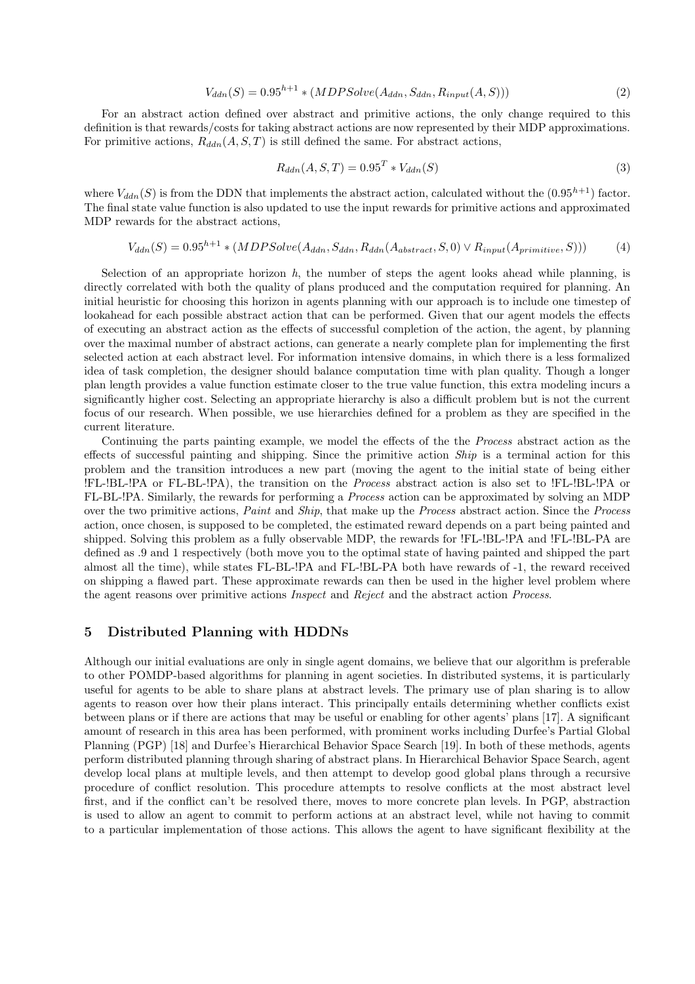$$
V_{ddn}(S) = 0.95^{h+1} * (MDPSolve(A_{ddn}, S_{ddn}, R_{input}(A, S)))
$$
\n
$$
(2)
$$

For an abstract action defined over abstract and primitive actions, the only change required to this definition is that rewards/costs for taking abstract actions are now represented by their MDP approximations. For primitive actions,  $R_{ddn}(A, S, T)$  is still defined the same. For abstract actions,

$$
R_{ddn}(A, S, T) = 0.95T * V_{ddn}(S)
$$
\n(3)

where  $V_{ddn}(S)$  is from the DDN that implements the abstract action, calculated without the  $(0.95^{h+1})$  factor. The final state value function is also updated to use the input rewards for primitive actions and approximated MDP rewards for the abstract actions,

$$
V_{ddn}(S) = 0.95^{h+1} * (MDPSolve(A_{ddn}, S_{ddn}, R_{ddn}(A_{abstract}, S, 0) \vee R_{input}(A_{primitive}, S)))
$$
 (4)

Selection of an appropriate horizon  $h$ , the number of steps the agent looks ahead while planning, is directly correlated with both the quality of plans produced and the computation required for planning. An initial heuristic for choosing this horizon in agents planning with our approach is to include one timestep of lookahead for each possible abstract action that can be performed. Given that our agent models the effects of executing an abstract action as the effects of successful completion of the action, the agent, by planning over the maximal number of abstract actions, can generate a nearly complete plan for implementing the first selected action at each abstract level. For information intensive domains, in which there is a less formalized idea of task completion, the designer should balance computation time with plan quality. Though a longer plan length provides a value function estimate closer to the true value function, this extra modeling incurs a significantly higher cost. Selecting an appropriate hierarchy is also a difficult problem but is not the current focus of our research. When possible, we use hierarchies defined for a problem as they are specified in the current literature.

Continuing the parts painting example, we model the effects of the the Process abstract action as the effects of successful painting and shipping. Since the primitive action  $\mathit{Ship}$  is a terminal action for this problem and the transition introduces a new part (moving the agent to the initial state of being either !FL-!BL-!PA or FL-BL-!PA), the transition on the Process abstract action is also set to !FL-!BL-!PA or FL-BL-!PA. Similarly, the rewards for performing a Process action can be approximated by solving an MDP over the two primitive actions, Paint and Ship, that make up the Process abstract action. Since the Process action, once chosen, is supposed to be completed, the estimated reward depends on a part being painted and shipped. Solving this problem as a fully observable MDP, the rewards for !FL-!BL-!PA and !FL-!BL-PA are defined as .9 and 1 respectively (both move you to the optimal state of having painted and shipped the part almost all the time), while states FL-BL-!PA and FL-!BL-PA both have rewards of -1, the reward received on shipping a flawed part. These approximate rewards can then be used in the higher level problem where the agent reasons over primitive actions Inspect and Reject and the abstract action Process.

# 5 Distributed Planning with HDDNs

Although our initial evaluations are only in single agent domains, we believe that our algorithm is preferable to other POMDP-based algorithms for planning in agent societies. In distributed systems, it is particularly useful for agents to be able to share plans at abstract levels. The primary use of plan sharing is to allow agents to reason over how their plans interact. This principally entails determining whether conflicts exist between plans or if there are actions that may be useful or enabling for other agents' plans [17]. A significant amount of research in this area has been performed, with prominent works including Durfee's Partial Global Planning (PGP) [18] and Durfee's Hierarchical Behavior Space Search [19]. In both of these methods, agents perform distributed planning through sharing of abstract plans. In Hierarchical Behavior Space Search, agent develop local plans at multiple levels, and then attempt to develop good global plans through a recursive procedure of conflict resolution. This procedure attempts to resolve conflicts at the most abstract level first, and if the conflict can't be resolved there, moves to more concrete plan levels. In PGP, abstraction is used to allow an agent to commit to perform actions at an abstract level, while not having to commit to a particular implementation of those actions. This allows the agent to have significant flexibility at the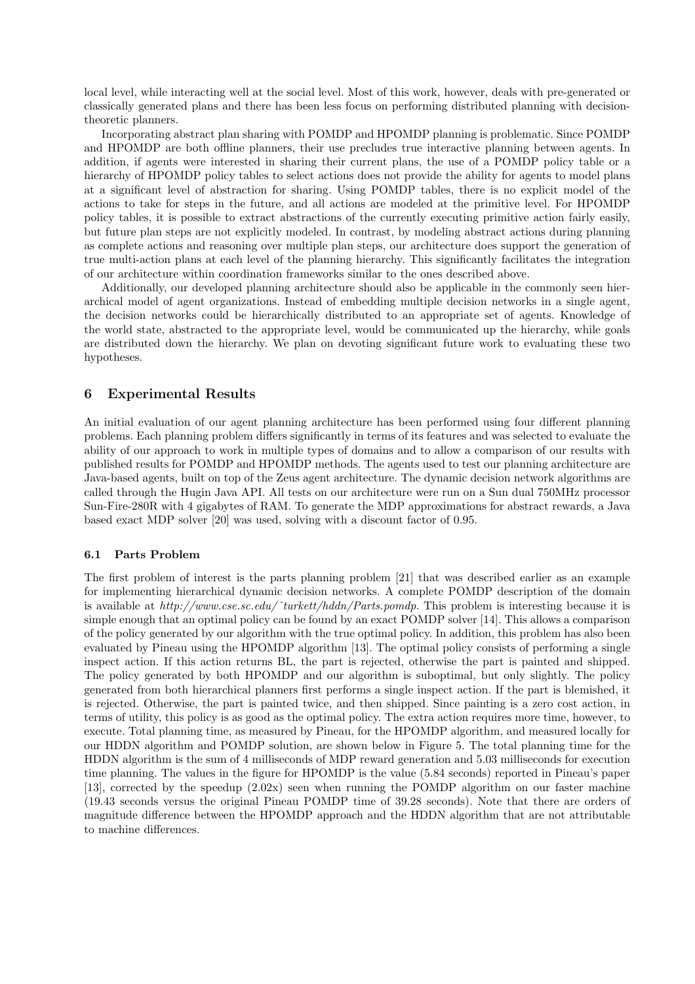local level, while interacting well at the social level. Most of this work, however, deals with pre-generated or classically generated plans and there has been less focus on performing distributed planning with decisiontheoretic planners.

Incorporating abstract plan sharing with POMDP and HPOMDP planning is problematic. Since POMDP and HPOMDP are both offline planners, their use precludes true interactive planning between agents. In addition, if agents were interested in sharing their current plans, the use of a POMDP policy table or a hierarchy of HPOMDP policy tables to select actions does not provide the ability for agents to model plans at a significant level of abstraction for sharing. Using POMDP tables, there is no explicit model of the actions to take for steps in the future, and all actions are modeled at the primitive level. For HPOMDP policy tables, it is possible to extract abstractions of the currently executing primitive action fairly easily, but future plan steps are not explicitly modeled. In contrast, by modeling abstract actions during planning as complete actions and reasoning over multiple plan steps, our architecture does support the generation of true multi-action plans at each level of the planning hierarchy. This significantly facilitates the integration of our architecture within coordination frameworks similar to the ones described above.

Additionally, our developed planning architecture should also be applicable in the commonly seen hierarchical model of agent organizations. Instead of embedding multiple decision networks in a single agent, the decision networks could be hierarchically distributed to an appropriate set of agents. Knowledge of the world state, abstracted to the appropriate level, would be communicated up the hierarchy, while goals are distributed down the hierarchy. We plan on devoting significant future work to evaluating these two hypotheses.

# 6 Experimental Results

An initial evaluation of our agent planning architecture has been performed using four different planning problems. Each planning problem differs significantly in terms of its features and was selected to evaluate the ability of our approach to work in multiple types of domains and to allow a comparison of our results with published results for POMDP and HPOMDP methods. The agents used to test our planning architecture are Java-based agents, built on top of the Zeus agent architecture. The dynamic decision network algorithms are called through the Hugin Java API. All tests on our architecture were run on a Sun dual 750MHz processor Sun-Fire-280R with 4 gigabytes of RAM. To generate the MDP approximations for abstract rewards, a Java based exact MDP solver [20] was used, solving with a discount factor of 0.95.

#### 6.1 Parts Problem

The first problem of interest is the parts planning problem [21] that was described earlier as an example for implementing hierarchical dynamic decision networks. A complete POMDP description of the domain is available at  $http://www.cse.sc.edu/~turkett/hddn/Parts.pomdp. This problem is interesting because it is$ simple enough that an optimal policy can be found by an exact POMDP solver [14]. This allows a comparison of the policy generated by our algorithm with the true optimal policy. In addition, this problem has also been evaluated by Pineau using the HPOMDP algorithm [13]. The optimal policy consists of performing a single inspect action. If this action returns BL, the part is rejected, otherwise the part is painted and shipped. The policy generated by both HPOMDP and our algorithm is suboptimal, but only slightly. The policy generated from both hierarchical planners first performs a single inspect action. If the part is blemished, it is rejected. Otherwise, the part is painted twice, and then shipped. Since painting is a zero cost action, in terms of utility, this policy is as good as the optimal policy. The extra action requires more time, however, to execute. Total planning time, as measured by Pineau, for the HPOMDP algorithm, and measured locally for our HDDN algorithm and POMDP solution, are shown below in Figure 5. The total planning time for the HDDN algorithm is the sum of 4 milliseconds of MDP reward generation and 5.03 milliseconds for execution time planning. The values in the figure for HPOMDP is the value (5.84 seconds) reported in Pineau's paper [13], corrected by the speedup (2.02x) seen when running the POMDP algorithm on our faster machine (19.43 seconds versus the original Pineau POMDP time of 39.28 seconds). Note that there are orders of magnitude difference between the HPOMDP approach and the HDDN algorithm that are not attributable to machine differences.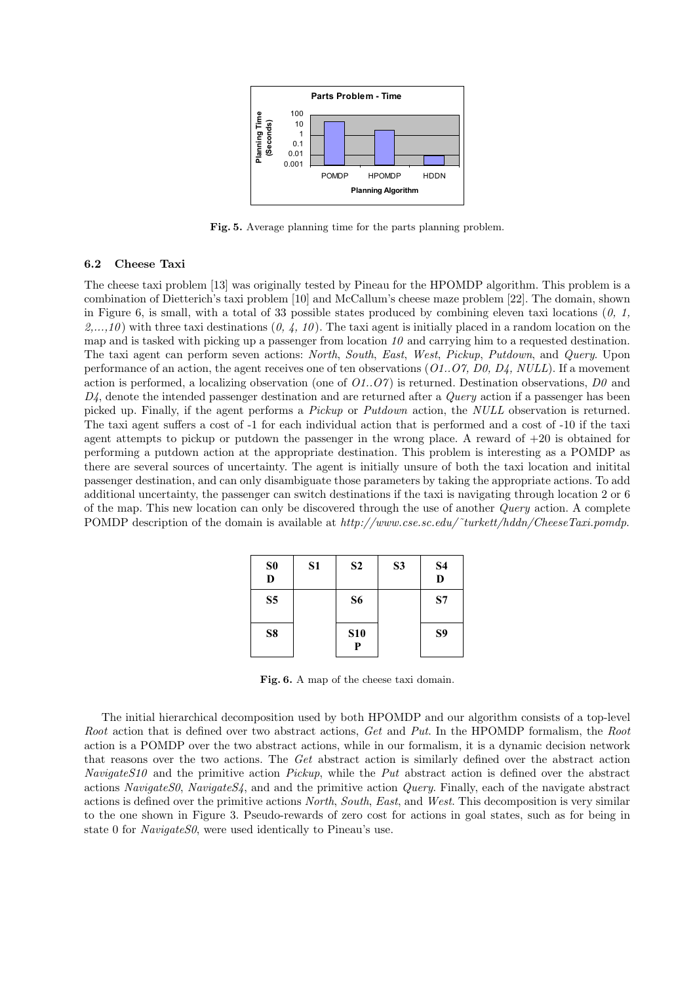

Fig. 5. Average planning time for the parts planning problem.

## 6.2 Cheese Taxi

The cheese taxi problem [13] was originally tested by Pineau for the HPOMDP algorithm. This problem is a combination of Dietterich's taxi problem [10] and McCallum's cheese maze problem [22]. The domain, shown in Figure 6, is small, with a total of 33 possible states produced by combining eleven taxi locations  $(0, 1, 1)$  $2,\ldots,10$  with three taxi destinations  $(0, 4, 10)$ . The taxi agent is initially placed in a random location on the map and is tasked with picking up a passenger from location  $10$  and carrying him to a requested destination. The taxi agent can perform seven actions: North, South, East, West, Pickup, Putdown, and Query. Upon performance of an action, the agent receives one of ten observations  $(01..07, D0, D4, NULL)$ . If a movement action is performed, a localizing observation (one of  $O(1.07)$ ) is returned. Destination observations,  $D\theta$  and  $D<sub>4</sub>$ , denote the intended passenger destination and are returned after a *Query* action if a passenger has been picked up. Finally, if the agent performs a Pickup or Putdown action, the NULL observation is returned. The taxi agent suffers a cost of -1 for each individual action that is performed and a cost of -10 if the taxi agent attempts to pickup or putdown the passenger in the wrong place. A reward of  $+20$  is obtained for performing a putdown action at the appropriate destination. This problem is interesting as a POMDP as there are several sources of uncertainty. The agent is initially unsure of both the taxi location and initital passenger destination, and can only disambiguate those parameters by taking the appropriate actions. To add additional uncertainty, the passenger can switch destinations if the taxi is navigating through location 2 or 6 of the map. This new location can only be discovered through the use of another Query action. A complete POMDP description of the domain is available at http://www.cse.sc.edu/~turkett/hddn/CheeseTaxi.pomdp.

| S <sub>0</sub><br>D | S1 | S <sub>2</sub>  | S <sub>3</sub> | <b>S4</b><br>D |
|---------------------|----|-----------------|----------------|----------------|
| S <sub>5</sub>      |    | S <sub>6</sub>  |                | S7             |
| S <sub>8</sub>      |    | <b>S10</b><br>P |                | S9             |

Fig. 6. A map of the cheese taxi domain.

The initial hierarchical decomposition used by both HPOMDP and our algorithm consists of a top-level Root action that is defined over two abstract actions, Get and Put. In the HPOMDP formalism, the Root action is a POMDP over the two abstract actions, while in our formalism, it is a dynamic decision network that reasons over the two actions. The Get abstract action is similarly defined over the abstract action NavigateS10 and the primitive action Pickup, while the Put abstract action is defined over the abstract actions Navigate S0, Navigate S4, and and the primitive action Query. Finally, each of the navigate abstract actions is defined over the primitive actions North, South, East, and West. This decomposition is very similar to the one shown in Figure 3. Pseudo-rewards of zero cost for actions in goal states, such as for being in state 0 for *NavigateS0*, were used identically to Pineau's use.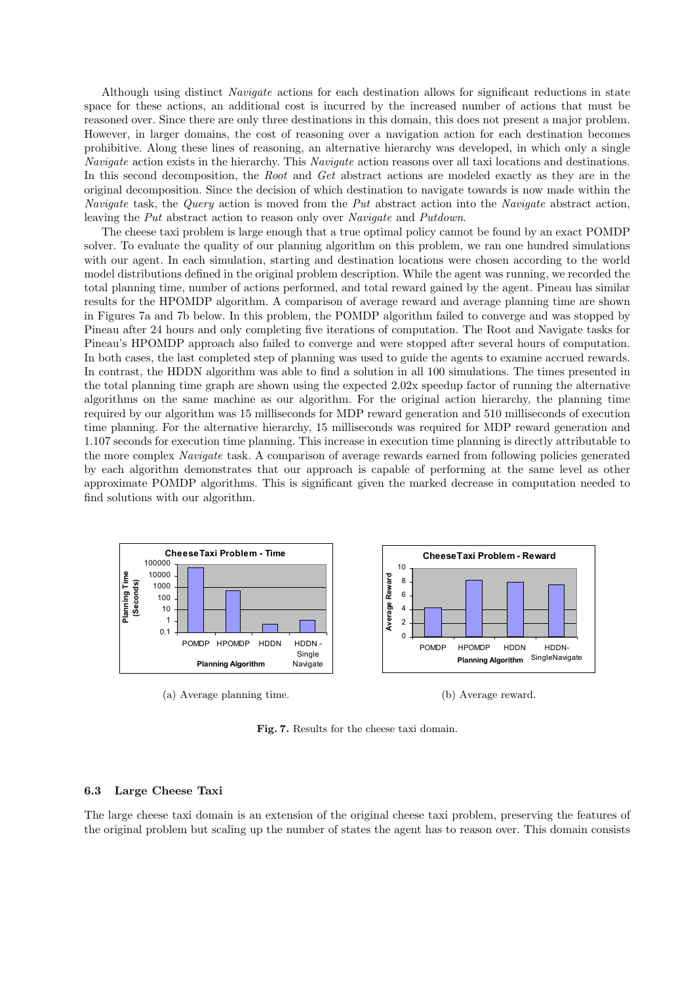Although using distinct Navigate actions for each destination allows for significant reductions in state space for these actions, an additional cost is incurred by the increased number of actions that must be reasoned over. Since there are only three destinations in this domain, this does not present a major problem. However, in larger domains, the cost of reasoning over a navigation action for each destination becomes prohibitive. Along these lines of reasoning, an alternative hierarchy was developed, in which only a single Navigate action exists in the hierarchy. This Navigate action reasons over all taxi locations and destinations. In this second decomposition, the *Root* and *Get* abstract actions are modeled exactly as they are in the original decomposition. Since the decision of which destination to navigate towards is now made within the Navigate task, the Query action is moved from the Put abstract action into the Navigate abstract action, leaving the Put abstract action to reason only over Navigate and Putdown.

The cheese taxi problem is large enough that a true optimal policy cannot be found by an exact POMDP solver. To evaluate the quality of our planning algorithm on this problem, we ran one hundred simulations with our agent. In each simulation, starting and destination locations were chosen according to the world model distributions defined in the original problem description. While the agent was running, we recorded the total planning time, number of actions performed, and total reward gained by the agent. Pineau has similar results for the HPOMDP algorithm. A comparison of average reward and average planning time are shown in Figures 7a and 7b below. In this problem, the POMDP algorithm failed to converge and was stopped by Pineau after 24 hours and only completing five iterations of computation. The Root and Navigate tasks for Pineau's HPOMDP approach also failed to converge and were stopped after several hours of computation. In both cases, the last completed step of planning was used to guide the agents to examine accrued rewards. In contrast, the HDDN algorithm was able to find a solution in all 100 simulations. The times presented in the total planning time graph are shown using the expected 2.02x speedup factor of running the alternative algorithms on the same machine as our algorithm. For the original action hierarchy, the planning time required by our algorithm was 15 milliseconds for MDP reward generation and 510 milliseconds of execution time planning. For the alternative hierarchy, 15 milliseconds was required for MDP reward generation and 1.107 seconds for execution time planning. This increase in execution time planning is directly attributable to the more complex Navigate task. A comparison of average rewards earned from following policies generated by each algorithm demonstrates that our approach is capable of performing at the same level as other approximate POMDP algorithms. This is significant given the marked decrease in computation needed to find solutions with our algorithm.



(a) Average planning time.



Fig. 7. Results for the cheese taxi domain.

## 6.3 Large Cheese Taxi

The large cheese taxi domain is an extension of the original cheese taxi problem, preserving the features of the original problem but scaling up the number of states the agent has to reason over. This domain consists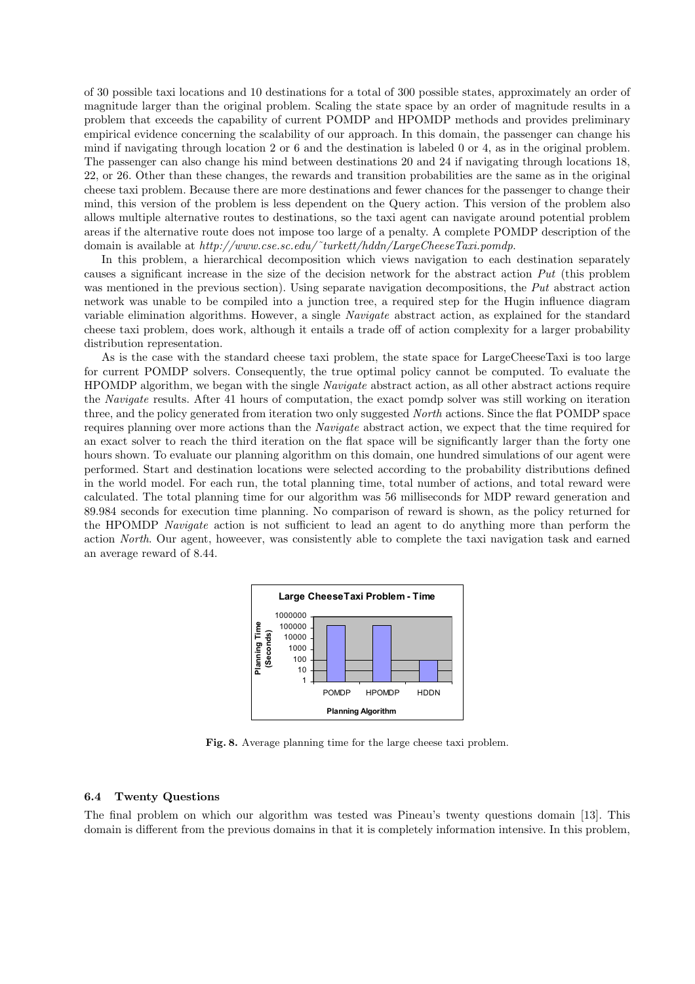of 30 possible taxi locations and 10 destinations for a total of 300 possible states, approximately an order of magnitude larger than the original problem. Scaling the state space by an order of magnitude results in a problem that exceeds the capability of current POMDP and HPOMDP methods and provides preliminary empirical evidence concerning the scalability of our approach. In this domain, the passenger can change his mind if navigating through location 2 or 6 and the destination is labeled 0 or 4, as in the original problem. The passenger can also change his mind between destinations 20 and 24 if navigating through locations 18, 22, or 26. Other than these changes, the rewards and transition probabilities are the same as in the original cheese taxi problem. Because there are more destinations and fewer chances for the passenger to change their mind, this version of the problem is less dependent on the Query action. This version of the problem also allows multiple alternative routes to destinations, so the taxi agent can navigate around potential problem areas if the alternative route does not impose too large of a penalty. A complete POMDP description of the domain is available at  $http://www.cse.sc.edu/~turkett/hddn/LargeCheese Taxi.pomdp.$ 

In this problem, a hierarchical decomposition which views navigation to each destination separately causes a significant increase in the size of the decision network for the abstract action Put (this problem was mentioned in the previous section). Using separate navigation decompositions, the Put abstract action network was unable to be compiled into a junction tree, a required step for the Hugin influence diagram variable elimination algorithms. However, a single Navigate abstract action, as explained for the standard cheese taxi problem, does work, although it entails a trade off of action complexity for a larger probability distribution representation.

As is the case with the standard cheese taxi problem, the state space for LargeCheeseTaxi is too large for current POMDP solvers. Consequently, the true optimal policy cannot be computed. To evaluate the HPOMDP algorithm, we began with the single Navigate abstract action, as all other abstract actions require the Navigate results. After 41 hours of computation, the exact pomdp solver was still working on iteration three, and the policy generated from iteration two only suggested North actions. Since the flat POMDP space requires planning over more actions than the Navigate abstract action, we expect that the time required for an exact solver to reach the third iteration on the flat space will be significantly larger than the forty one hours shown. To evaluate our planning algorithm on this domain, one hundred simulations of our agent were performed. Start and destination locations were selected according to the probability distributions defined in the world model. For each run, the total planning time, total number of actions, and total reward were calculated. The total planning time for our algorithm was 56 milliseconds for MDP reward generation and 89.984 seconds for execution time planning. No comparison of reward is shown, as the policy returned for the HPOMDP Navigate action is not sufficient to lead an agent to do anything more than perform the action North. Our agent, howeever, was consistently able to complete the taxi navigation task and earned an average reward of 8.44.



Fig. 8. Average planning time for the large cheese taxi problem.

#### 6.4 Twenty Questions

The final problem on which our algorithm was tested was Pineau's twenty questions domain [13]. This domain is different from the previous domains in that it is completely information intensive. In this problem,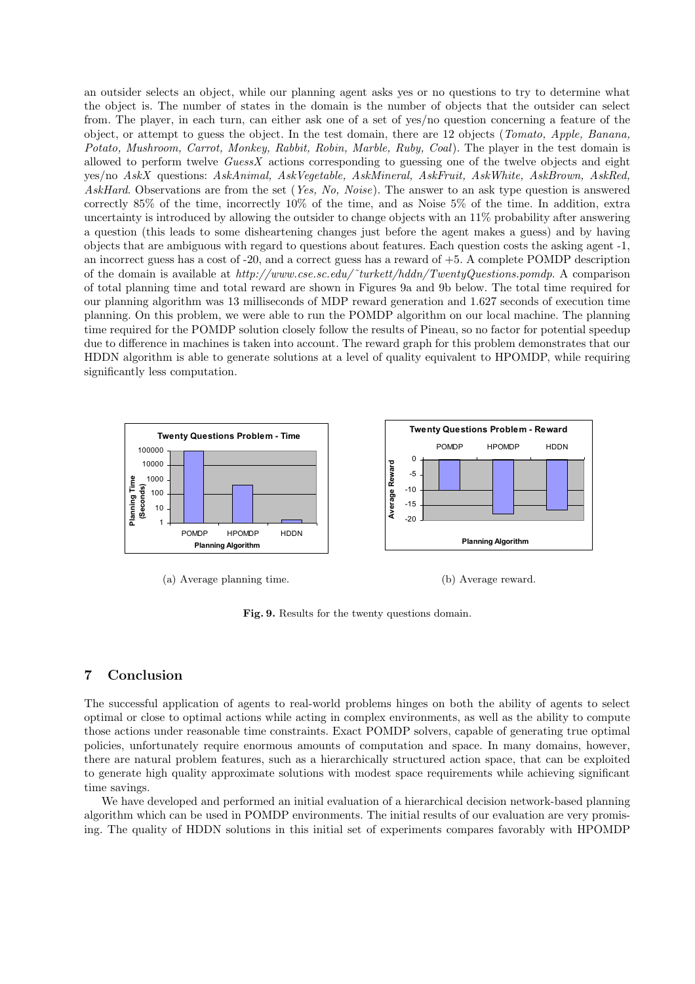an outsider selects an object, while our planning agent asks yes or no questions to try to determine what the object is. The number of states in the domain is the number of objects that the outsider can select from. The player, in each turn, can either ask one of a set of yes/no question concerning a feature of the object, or attempt to guess the object. In the test domain, there are 12 objects (Tomato, Apple, Banana, Potato, Mushroom, Carrot, Monkey, Rabbit, Robin, Marble, Ruby, Coal). The player in the test domain is allowed to perform twelve  $GuessX$  actions corresponding to guessing one of the twelve objects and eight yes/no AskX questions: AskAnimal, AskVegetable, AskMineral, AskFruit, AskWhite, AskBrown, AskRed, AskHard. Observations are from the set (Yes, No, Noise). The answer to an ask type question is answered correctly 85% of the time, incorrectly 10% of the time, and as Noise 5% of the time. In addition, extra uncertainty is introduced by allowing the outsider to change objects with an 11% probability after answering a question (this leads to some disheartening changes just before the agent makes a guess) and by having objects that are ambiguous with regard to questions about features. Each question costs the asking agent -1, an incorrect guess has a cost of -20, and a correct guess has a reward of +5. A complete POMDP description of the domain is available at http://www.cse.sc.edu/˜turkett/hddn/TwentyQuestions.pomdp. A comparison of total planning time and total reward are shown in Figures 9a and 9b below. The total time required for our planning algorithm was 13 milliseconds of MDP reward generation and 1.627 seconds of execution time planning. On this problem, we were able to run the POMDP algorithm on our local machine. The planning time required for the POMDP solution closely follow the results of Pineau, so no factor for potential speedup due to difference in machines is taken into account. The reward graph for this problem demonstrates that our HDDN algorithm is able to generate solutions at a level of quality equivalent to HPOMDP, while requiring significantly less computation.



Fig. 9. Results for the twenty questions domain.

# 7 Conclusion

The successful application of agents to real-world problems hinges on both the ability of agents to select optimal or close to optimal actions while acting in complex environments, as well as the ability to compute those actions under reasonable time constraints. Exact POMDP solvers, capable of generating true optimal policies, unfortunately require enormous amounts of computation and space. In many domains, however, there are natural problem features, such as a hierarchically structured action space, that can be exploited to generate high quality approximate solutions with modest space requirements while achieving significant time savings.

We have developed and performed an initial evaluation of a hierarchical decision network-based planning algorithm which can be used in POMDP environments. The initial results of our evaluation are very promising. The quality of HDDN solutions in this initial set of experiments compares favorably with HPOMDP